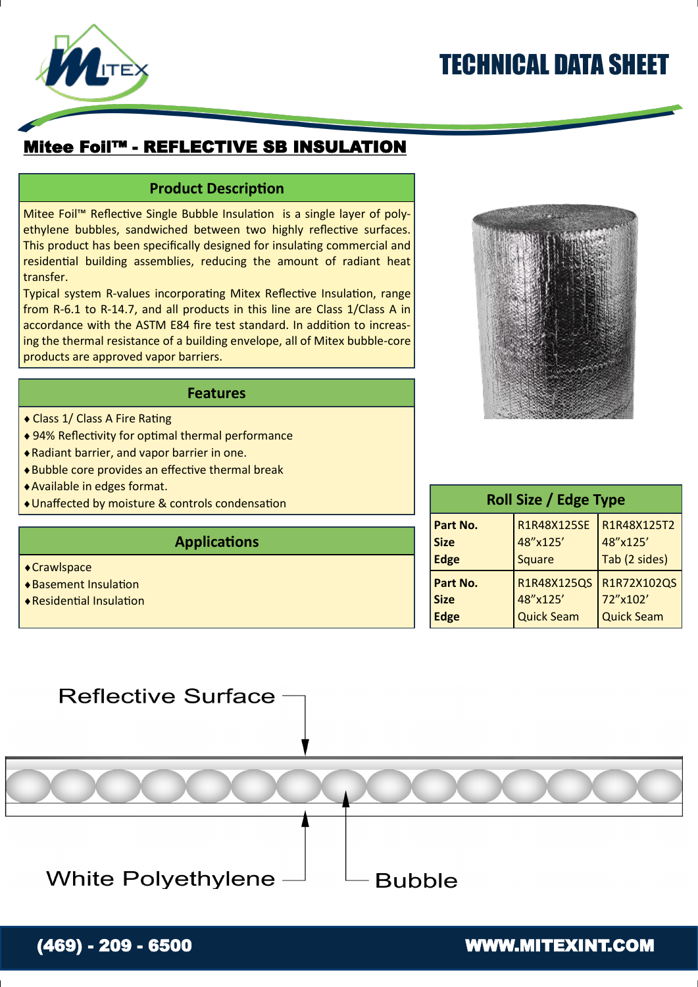# TECHNICAL DATA SHEET



### Mitee Foil™ - REFLECTIVE SB INSULATION

### **Product Description**

Mitee Foil™ Reflective Single Bubble Insulation is a single layer of polyethylene bubbles, sandwiched between two highly reflective surfaces. This product has been specifically designed for insulating commercial and residential building assemblies, reducing the amount of radiant heat transfer.

Typical system R-values incorporating Mitex Reflective Insulation, range from R-6.1 to R-14.7, and all products in this line are Class 1/Class A in accordance with the ASTM E84 fire test standard. In addition to increasing the thermal resistance of a building envelope, all of Mitex bubble-core products are approved vapor barriers.

#### **Features**

- Class 1/ Class A Fire Rating
- 94% Reflectivity for optimal thermal performance
- Radiant barrier, and vapor barrier in one.
- Bubble core provides an effective thermal break
- Available in edges format.
- Unaffected by moisture & controls condensation

#### **Applications**

- ◆ Crawlspace
- Basement Insulation
- Residential Insulation



| <b>Roll Size / Edge Type</b> |                   |                   |  |
|------------------------------|-------------------|-------------------|--|
| Part No.                     | R1R48X125SE       | R1R48X125T2       |  |
| <b>Size</b>                  | 48"x125'          | 48"x125'          |  |
| <b>Edge</b>                  | <b>Square</b>     | Tab (2 sides)     |  |
| Part No.                     | R1R48X125QS       | R1R72X102QS       |  |
| <b>Size</b>                  | 48"x125'          | 72"x102'          |  |
| <b>Edge</b>                  | <b>Quick Seam</b> | <b>Quick Seam</b> |  |